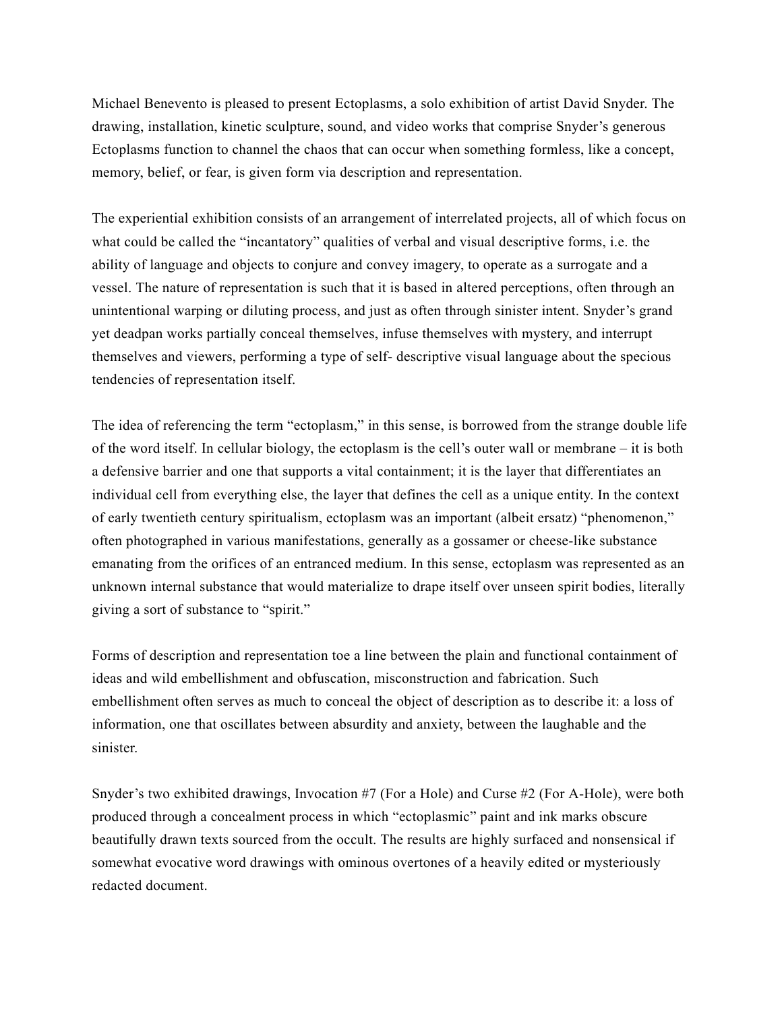Michael Benevento is pleased to present Ectoplasms, a solo exhibition of artist David Snyder. The drawing, installation, kinetic sculpture, sound, and video works that comprise Snyder's generous Ectoplasms function to channel the chaos that can occur when something formless, like a concept, memory, belief, or fear, is given form via description and representation.

The experiential exhibition consists of an arrangement of interrelated projects, all of which focus on what could be called the "incantatory" qualities of verbal and visual descriptive forms, i.e. the ability of language and objects to conjure and convey imagery, to operate as a surrogate and a vessel. The nature of representation is such that it is based in altered perceptions, often through an unintentional warping or diluting process, and just as often through sinister intent. Snyder's grand yet deadpan works partially conceal themselves, infuse themselves with mystery, and interrupt themselves and viewers, performing a type of self- descriptive visual language about the specious tendencies of representation itself.

The idea of referencing the term "ectoplasm," in this sense, is borrowed from the strange double life of the word itself. In cellular biology, the ectoplasm is the cell's outer wall or membrane – it is both a defensive barrier and one that supports a vital containment; it is the layer that differentiates an individual cell from everything else, the layer that defines the cell as a unique entity. In the context of early twentieth century spiritualism, ectoplasm was an important (albeit ersatz) "phenomenon," often photographed in various manifestations, generally as a gossamer or cheese-like substance emanating from the orifices of an entranced medium. In this sense, ectoplasm was represented as an unknown internal substance that would materialize to drape itself over unseen spirit bodies, literally giving a sort of substance to "spirit."

Forms of description and representation toe a line between the plain and functional containment of ideas and wild embellishment and obfuscation, misconstruction and fabrication. Such embellishment often serves as much to conceal the object of description as to describe it: a loss of information, one that oscillates between absurdity and anxiety, between the laughable and the sinister.

Snyder's two exhibited drawings, Invocation #7 (For a Hole) and Curse #2 (For A-Hole), were both produced through a concealment process in which "ectoplasmic" paint and ink marks obscure beautifully drawn texts sourced from the occult. The results are highly surfaced and nonsensical if somewhat evocative word drawings with ominous overtones of a heavily edited or mysteriously redacted document.